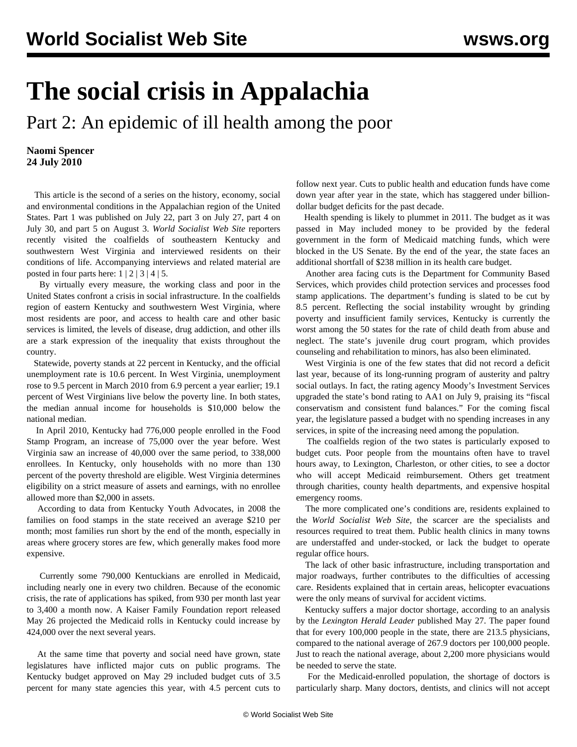## **The social crisis in Appalachia**

Part 2: An epidemic of ill health among the poor

**Naomi Spencer 24 July 2010**

 This article is the second of a series on the history, economy, social and environmental conditions in the Appalachian region of the United States. [Part 1](/en/articles/2010/jul2010/appa-j22.shtml) was published on July 22, [part 3](/en/articles/2010/jul2010/app3-j27.shtml) on July 27, [part 4](/en/articles/2010/jul2010/app4-j30.shtml) on July 30, and [part 5](/en/articles/2010/aug2010/app5-a03.shtml) on August 3. *World Socialist Web Site* reporters recently visited the coalfields of southeastern Kentucky and southwestern West Virginia and interviewed residents on their conditions of life. Accompanying interviews and related material are posted in four parts here:  $1 \mid 2 \mid 3 \mid 4 \mid 5$  $1 \mid 2 \mid 3 \mid 4 \mid 5$  $1 \mid 2 \mid 3 \mid 4 \mid 5$  $1 \mid 2 \mid 3 \mid 4 \mid 5$  $1 \mid 2 \mid 3 \mid 4 \mid 5$  $1 \mid 2 \mid 3 \mid 4 \mid 5$  $1 \mid 2 \mid 3 \mid 4 \mid 5$  $1 \mid 2 \mid 3 \mid 4 \mid 5$  $1 \mid 2 \mid 3 \mid 4 \mid 5$ .

 By virtually every measure, the working class and poor in the United States confront a crisis in social infrastructure. In the coalfields region of eastern Kentucky and southwestern West Virginia, where most residents are poor, and access to health care and other basic services is limited, the levels of disease, drug addiction, and other ills are a stark expression of the inequality that exists throughout the country.

 Statewide, poverty stands at 22 percent in Kentucky, and the official unemployment rate is 10.6 percent. In West Virginia, unemployment rose to 9.5 percent in March 2010 from 6.9 percent a year earlier; 19.1 percent of West Virginians live below the poverty line. In both states, the median annual income for households is \$10,000 below the national median.

 In April 2010, Kentucky had 776,000 people enrolled in the Food Stamp Program, an increase of 75,000 over the year before. West Virginia saw an increase of 40,000 over the same period, to 338,000 enrollees. In Kentucky, only households with no more than 130 percent of the poverty threshold are eligible. West Virginia determines eligibility on a strict measure of assets and earnings, with no enrollee allowed more than \$2,000 in assets.

 According to data from Kentucky Youth Advocates, in 2008 the families on food stamps in the state received an average \$210 per month; most families run short by the end of the month, especially in areas where grocery stores are few, which generally makes food more expensive.

 Currently some 790,000 Kentuckians are enrolled in Medicaid, including nearly one in every two children. Because of the economic crisis, the rate of applications has spiked, from 930 per month last year to 3,400 a month now. A Kaiser Family Foundation report released May 26 projected the Medicaid rolls in Kentucky could increase by 424,000 over the next several years.

 At the same time that poverty and social need have grown, state legislatures have inflicted major cuts on public programs. The Kentucky budget approved on May 29 included budget cuts of 3.5 percent for many state agencies this year, with 4.5 percent cuts to follow next year. Cuts to public health and education funds have come down year after year in the state, which has staggered under billiondollar budget deficits for the past decade.

 Health spending is likely to plummet in 2011. The budget as it was passed in May included money to be provided by the federal government in the form of Medicaid matching funds, which were blocked in the US Senate. By the end of the year, the state faces an additional shortfall of \$238 million in its health care budget.

 Another area facing cuts is the Department for Community Based Services, which provides child protection services and processes food stamp applications. The department's funding is slated to be cut by 8.5 percent. Reflecting the social instability wrought by grinding poverty and insufficient family services, Kentucky is currently the worst among the 50 states for the rate of child death from abuse and neglect. The state's juvenile drug court program, which provides counseling and rehabilitation to minors, has also been eliminated.

 West Virginia is one of the few states that did not record a deficit last year, because of its long-running program of austerity and paltry social outlays. In fact, the rating agency Moody's Investment Services upgraded the state's bond rating to AA1 on July 9, praising its "fiscal conservatism and consistent fund balances." For the coming fiscal year, the legislature passed a budget with no spending increases in any services, in spite of the increasing need among the population.

 The coalfields region of the two states is particularly exposed to budget cuts. Poor people from the mountains often have to travel hours away, to Lexington, Charleston, or other cities, to see a doctor who will accept Medicaid reimbursement. Others get treatment through charities, county health departments, and expensive hospital emergency rooms.

 The more complicated one's conditions are, residents explained to the *World Socialist Web Site*, the scarcer are the specialists and resources required to treat them. Public health clinics in many towns are understaffed and under-stocked, or lack the budget to operate regular office hours.

 The lack of other basic infrastructure, including transportation and major roadways, further contributes to the difficulties of accessing care. Residents explained that in certain areas, helicopter evacuations were the only means of survival for accident victims.

 Kentucky suffers a major doctor shortage, according to an analysis by the *Lexington Herald Leader* published May 27. The paper found that for every 100,000 people in the state, there are 213.5 physicians, compared to the national average of 267.9 doctors per 100,000 people. Just to reach the national average, about 2,200 more physicians would be needed to serve the state.

 For the Medicaid-enrolled population, the shortage of doctors is particularly sharp. Many doctors, dentists, and clinics will not accept